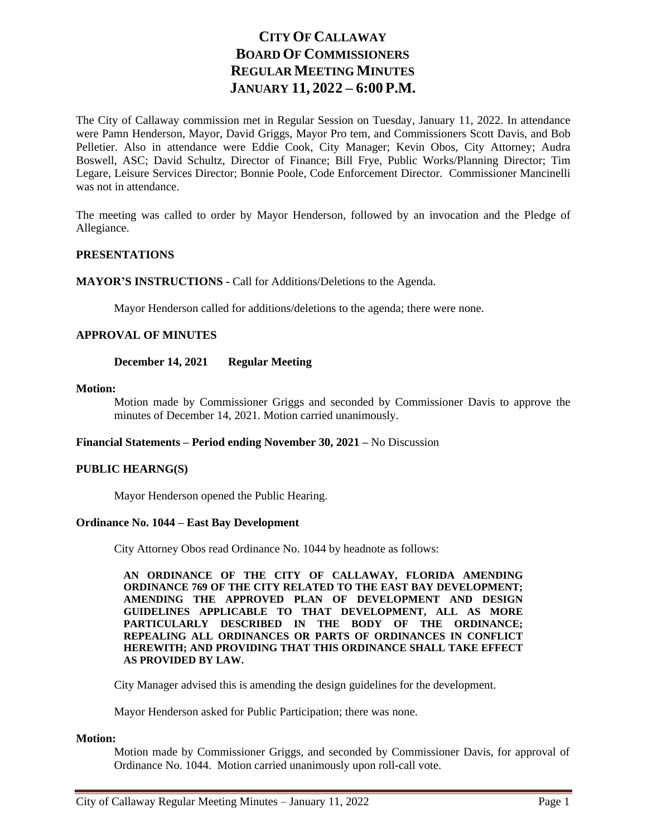# **CITY OF CALLAWAY BOARD OF COMMISSIONERS REGULAR MEETING MINUTES JANUARY 11, 2022 – 6:00 P.M.**

The City of Callaway commission met in Regular Session on Tuesday, January 11, 2022. In attendance were Pamn Henderson, Mayor, David Griggs, Mayor Pro tem, and Commissioners Scott Davis, and Bob Pelletier. Also in attendance were Eddie Cook, City Manager; Kevin Obos, City Attorney; Audra Boswell, ASC; David Schultz, Director of Finance; Bill Frye, Public Works/Planning Director; Tim Legare, Leisure Services Director; Bonnie Poole, Code Enforcement Director. Commissioner Mancinelli was not in attendance.

The meeting was called to order by Mayor Henderson, followed by an invocation and the Pledge of Allegiance.

### **PRESENTATIONS**

**MAYOR'S INSTRUCTIONS -** Call for Additions/Deletions to the Agenda.

Mayor Henderson called for additions/deletions to the agenda; there were none.

### **APPROVAL OF MINUTES**

### **December 14, 2021 Regular Meeting**

#### **Motion:**

Motion made by Commissioner Griggs and seconded by Commissioner Davis to approve the minutes of December 14, 2021. Motion carried unanimously.

#### **Financial Statements – Period ending November 30, 2021 –** No Discussion

## **PUBLIC HEARNG(S)**

Mayor Henderson opened the Public Hearing.

## **Ordinance No. 1044 – East Bay Development**

City Attorney Obos read Ordinance No. 1044 by headnote as follows:

**AN ORDINANCE OF THE CITY OF CALLAWAY, FLORIDA AMENDING ORDINANCE 769 OF THE CITY RELATED TO THE EAST BAY DEVELOPMENT; AMENDING THE APPROVED PLAN OF DEVELOPMENT AND DESIGN GUIDELINES APPLICABLE TO THAT DEVELOPMENT, ALL AS MORE PARTICULARLY DESCRIBED IN THE BODY OF THE ORDINANCE; REPEALING ALL ORDINANCES OR PARTS OF ORDINANCES IN CONFLICT HEREWITH; AND PROVIDING THAT THIS ORDINANCE SHALL TAKE EFFECT AS PROVIDED BY LAW.**

City Manager advised this is amending the design guidelines for the development.

Mayor Henderson asked for Public Participation; there was none.

#### **Motion:**

Motion made by Commissioner Griggs, and seconded by Commissioner Davis, for approval of Ordinance No. 1044. Motion carried unanimously upon roll-call vote.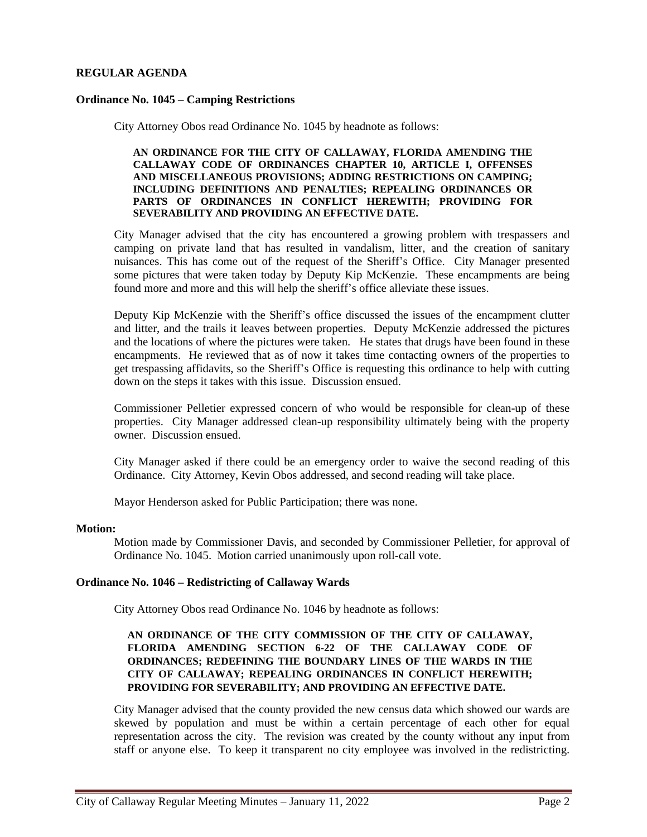# **REGULAR AGENDA**

## **Ordinance No. 1045 – Camping Restrictions**

City Attorney Obos read Ordinance No. 1045 by headnote as follows:

#### **AN ORDINANCE FOR THE CITY OF CALLAWAY, FLORIDA AMENDING THE CALLAWAY CODE OF ORDINANCES CHAPTER 10, ARTICLE I, OFFENSES AND MISCELLANEOUS PROVISIONS; ADDING RESTRICTIONS ON CAMPING; INCLUDING DEFINITIONS AND PENALTIES; REPEALING ORDINANCES OR PARTS OF ORDINANCES IN CONFLICT HEREWITH; PROVIDING FOR SEVERABILITY AND PROVIDING AN EFFECTIVE DATE.**

City Manager advised that the city has encountered a growing problem with trespassers and camping on private land that has resulted in vandalism, litter, and the creation of sanitary nuisances. This has come out of the request of the Sheriff's Office. City Manager presented some pictures that were taken today by Deputy Kip McKenzie. These encampments are being found more and more and this will help the sheriff's office alleviate these issues.

Deputy Kip McKenzie with the Sheriff's office discussed the issues of the encampment clutter and litter, and the trails it leaves between properties. Deputy McKenzie addressed the pictures and the locations of where the pictures were taken. He states that drugs have been found in these encampments. He reviewed that as of now it takes time contacting owners of the properties to get trespassing affidavits, so the Sheriff's Office is requesting this ordinance to help with cutting down on the steps it takes with this issue. Discussion ensued.

Commissioner Pelletier expressed concern of who would be responsible for clean-up of these properties. City Manager addressed clean-up responsibility ultimately being with the property owner. Discussion ensued.

City Manager asked if there could be an emergency order to waive the second reading of this Ordinance. City Attorney, Kevin Obos addressed, and second reading will take place.

Mayor Henderson asked for Public Participation; there was none.

#### **Motion:**

Motion made by Commissioner Davis, and seconded by Commissioner Pelletier, for approval of Ordinance No. 1045. Motion carried unanimously upon roll-call vote.

## **Ordinance No. 1046 – Redistricting of Callaway Wards**

City Attorney Obos read Ordinance No. 1046 by headnote as follows:

## **AN ORDINANCE OF THE CITY COMMISSION OF THE CITY OF CALLAWAY, FLORIDA AMENDING SECTION 6-22 OF THE CALLAWAY CODE OF ORDINANCES; REDEFINING THE BOUNDARY LINES OF THE WARDS IN THE CITY OF CALLAWAY; REPEALING ORDINANCES IN CONFLICT HEREWITH; PROVIDING FOR SEVERABILITY; AND PROVIDING AN EFFECTIVE DATE.**

City Manager advised that the county provided the new census data which showed our wards are skewed by population and must be within a certain percentage of each other for equal representation across the city. The revision was created by the county without any input from staff or anyone else. To keep it transparent no city employee was involved in the redistricting.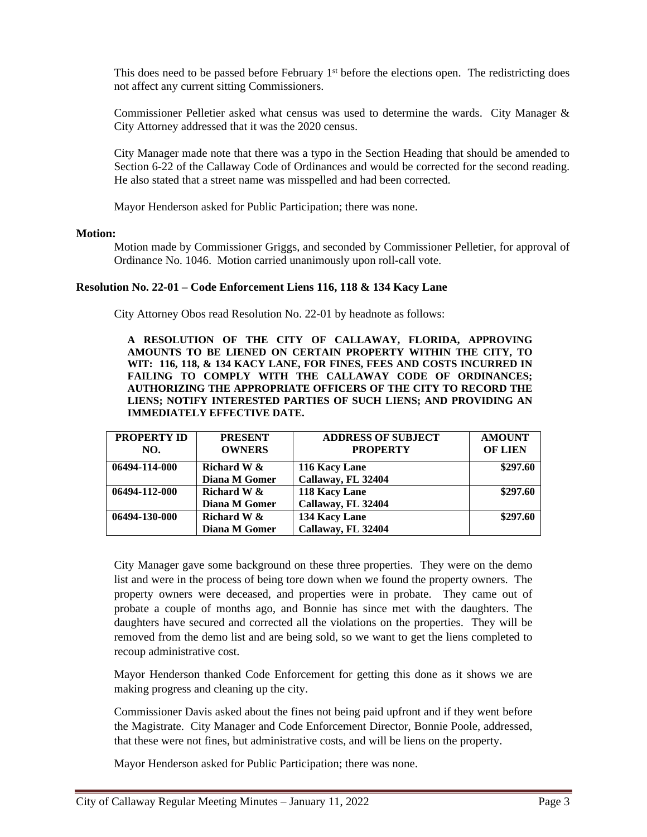This does need to be passed before February 1<sup>st</sup> before the elections open. The redistricting does not affect any current sitting Commissioners.

Commissioner Pelletier asked what census was used to determine the wards. City Manager & City Attorney addressed that it was the 2020 census.

City Manager made note that there was a typo in the Section Heading that should be amended to Section 6-22 of the Callaway Code of Ordinances and would be corrected for the second reading. He also stated that a street name was misspelled and had been corrected.

Mayor Henderson asked for Public Participation; there was none.

#### **Motion:**

Motion made by Commissioner Griggs, and seconded by Commissioner Pelletier, for approval of Ordinance No. 1046. Motion carried unanimously upon roll-call vote.

#### **Resolution No. 22-01 – Code Enforcement Liens 116, 118 & 134 Kacy Lane**

City Attorney Obos read Resolution No. 22-01 by headnote as follows:

**A RESOLUTION OF THE CITY OF CALLAWAY, FLORIDA, APPROVING AMOUNTS TO BE LIENED ON CERTAIN PROPERTY WITHIN THE CITY, TO WIT: 116, 118, & 134 KACY LANE, FOR FINES, FEES AND COSTS INCURRED IN FAILING TO COMPLY WITH THE CALLAWAY CODE OF ORDINANCES; AUTHORIZING THE APPROPRIATE OFFICERS OF THE CITY TO RECORD THE LIENS; NOTIFY INTERESTED PARTIES OF SUCH LIENS; AND PROVIDING AN IMMEDIATELY EFFECTIVE DATE.**

| <b>PROPERTY ID</b> | <b>PRESENT</b> | <b>ADDRESS OF SUBJECT</b> | <b>AMOUNT</b>  |
|--------------------|----------------|---------------------------|----------------|
| NO.                | <b>OWNERS</b>  | <b>PROPERTY</b>           | <b>OF LIEN</b> |
| 06494-114-000      | Richard W &    | 116 Kacy Lane             | \$297.60       |
|                    | Diana M Gomer  | Callaway, FL 32404        |                |
| 06494-112-000      | Richard W &    | 118 Kacy Lane             | \$297.60       |
|                    | Diana M Gomer  | Callaway, FL 32404        |                |
| 06494-130-000      | Richard W &    | 134 Kacy Lane             | \$297.60       |
|                    | Diana M Gomer  | Callaway, FL 32404        |                |

City Manager gave some background on these three properties. They were on the demo list and were in the process of being tore down when we found the property owners. The property owners were deceased, and properties were in probate. They came out of probate a couple of months ago, and Bonnie has since met with the daughters. The daughters have secured and corrected all the violations on the properties. They will be removed from the demo list and are being sold, so we want to get the liens completed to recoup administrative cost.

Mayor Henderson thanked Code Enforcement for getting this done as it shows we are making progress and cleaning up the city.

Commissioner Davis asked about the fines not being paid upfront and if they went before the Magistrate. City Manager and Code Enforcement Director, Bonnie Poole, addressed, that these were not fines, but administrative costs, and will be liens on the property.

Mayor Henderson asked for Public Participation; there was none.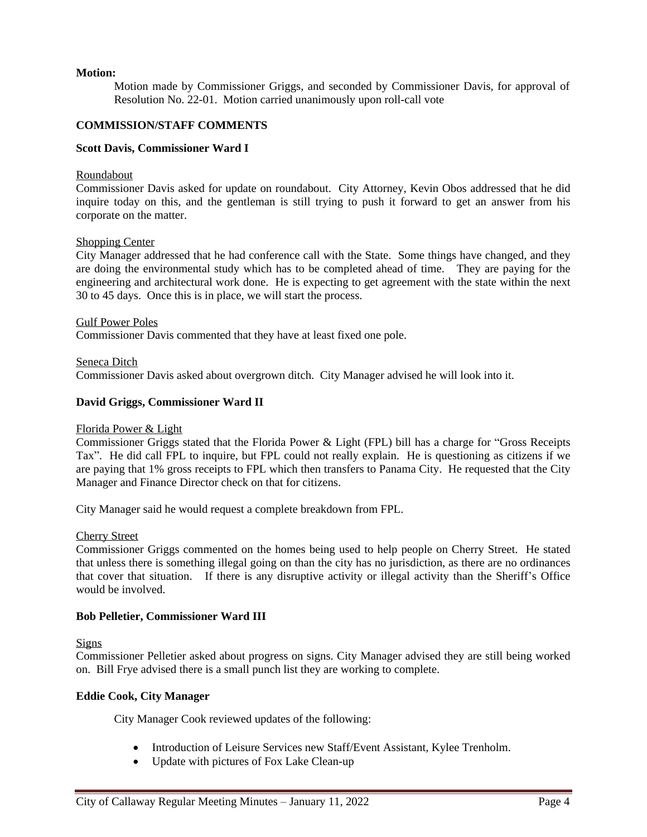## **Motion:**

Motion made by Commissioner Griggs, and seconded by Commissioner Davis, for approval of Resolution No. 22-01. Motion carried unanimously upon roll-call vote

## **COMMISSION/STAFF COMMENTS**

## **Scott Davis, Commissioner Ward I**

#### **Roundabout**

Commissioner Davis asked for update on roundabout. City Attorney, Kevin Obos addressed that he did inquire today on this, and the gentleman is still trying to push it forward to get an answer from his corporate on the matter.

### Shopping Center

City Manager addressed that he had conference call with the State. Some things have changed, and they are doing the environmental study which has to be completed ahead of time. They are paying for the engineering and architectural work done. He is expecting to get agreement with the state within the next 30 to 45 days. Once this is in place, we will start the process.

Gulf Power Poles Commissioner Davis commented that they have at least fixed one pole.

Seneca Ditch Commissioner Davis asked about overgrown ditch. City Manager advised he will look into it.

### **David Griggs, Commissioner Ward II**

#### Florida Power & Light

Commissioner Griggs stated that the Florida Power & Light (FPL) bill has a charge for "Gross Receipts Tax". He did call FPL to inquire, but FPL could not really explain. He is questioning as citizens if we are paying that 1% gross receipts to FPL which then transfers to Panama City. He requested that the City Manager and Finance Director check on that for citizens.

City Manager said he would request a complete breakdown from FPL.

#### Cherry Street

Commissioner Griggs commented on the homes being used to help people on Cherry Street. He stated that unless there is something illegal going on than the city has no jurisdiction, as there are no ordinances that cover that situation. If there is any disruptive activity or illegal activity than the Sheriff's Office would be involved.

## **Bob Pelletier, Commissioner Ward III**

**Signs** 

Commissioner Pelletier asked about progress on signs. City Manager advised they are still being worked on. Bill Frye advised there is a small punch list they are working to complete.

#### **Eddie Cook, City Manager**

City Manager Cook reviewed updates of the following:

- Introduction of Leisure Services new Staff/Event Assistant, Kylee Trenholm.
- Update with pictures of Fox Lake Clean-up